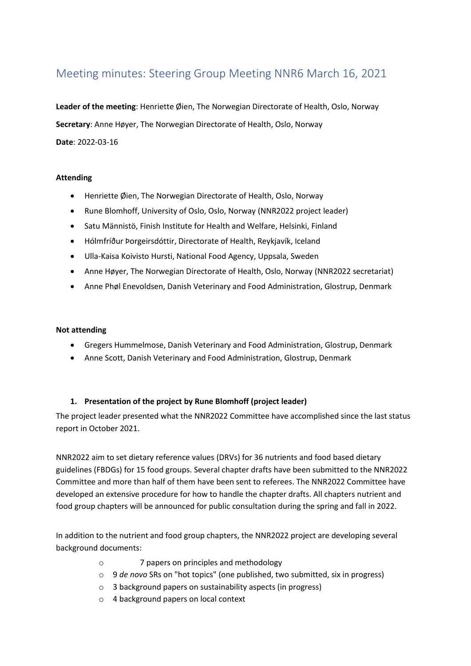# Meeting minutes: Steering Group Meeting NNR6 March 16, 2021

**Leader of the meeting**: Henriette Øien, The Norwegian Directorate of Health, Oslo, Norway **Secretary**: Anne Høyer, The Norwegian Directorate of Health, Oslo, Norway **Date**: 2022-03-16

## **Attending**

- Henriette Øien, The Norwegian Directorate of Health, Oslo, Norway
- Rune Blomhoff, University of Oslo, Oslo, Norway (NNR2022 project leader)
- Satu Männistö, Finish Institute for Health and Welfare, Helsinki, Finland
- Hólmfríður Þorgeirsdóttir, Directorate of Health, Reykjavík, Iceland
- Ulla-Kaisa Koivisto Hursti, National Food Agency, Uppsala, Sweden
- Anne Høyer, The Norwegian Directorate of Health, Oslo, Norway (NNR2022 secretariat)
- Anne Phøl Enevoldsen, Danish Veterinary and Food Administration, Glostrup, Denmark

#### **Not attending**

- Gregers Hummelmose, Danish Veterinary and Food Administration, Glostrup, Denmark
- Anne Scott, Danish Veterinary and Food Administration, Glostrup, Denmark

#### **1. Presentation of the project by Rune Blomhoff (project leader)**

The project leader presented what the NNR2022 Committee have accomplished since the last status report in October 2021.

NNR2022 aim to set dietary reference values (DRVs) for 36 nutrients and food based dietary guidelines (FBDGs) for 15 food groups. Several chapter drafts have been submitted to the NNR2022 Committee and more than half of them have been sent to referees. The NNR2022 Committee have developed an extensive procedure for how to handle the chapter drafts. All chapters nutrient and food group chapters will be announced for public consultation during the spring and fall in 2022.

In addition to the nutrient and food group chapters, the NNR2022 project are developing several background documents:

- o 7 papers on principles and methodology
- o 9 *de novo* SRs on "hot topics" (one published, two submitted, six in progress)
- o 3 background papers on sustainability aspects (in progress)
- o 4 background papers on local context